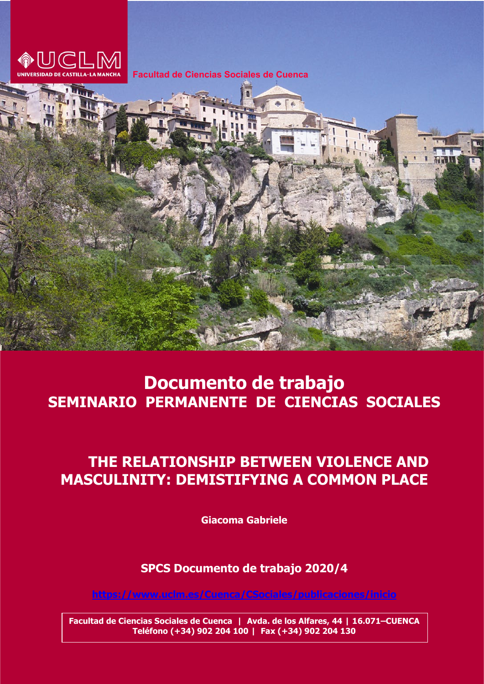

**Facultad de Ciencias Sociales de Cuenca**



## **Juan Antonio Documento de trabajo** [JuanAntonio.Mondejar@uclm.es](mailto:JuanAntonio.Mondejar@uclm.es)  SEMINARIO PERMANENTE DE CIENCIAS SOCIALES

## **THE RELATIONSHIP BETWEEN VIOLENCE AND** Facultad de Ciencias Sociales de Cuenca **MASCULINITY: DEMISTIFYING A COMMON PLACE**

**Giacoma Gabriele**

<http://www.uclm.es/CU/csociales/DocumentosTrabajo> **SPCS Documento de trabajo 2020/4** 

<u><https://www.uclm.es/Cuenca/CSociales/publicaciones/inicio></u>

**Facultad de Ciencias Sociales de Cuenca | Avda. de los Alfares, 44 | 16.071–CUENCA Teléfono (+34) 902 204 100 | Fax (+34) 902 204 130**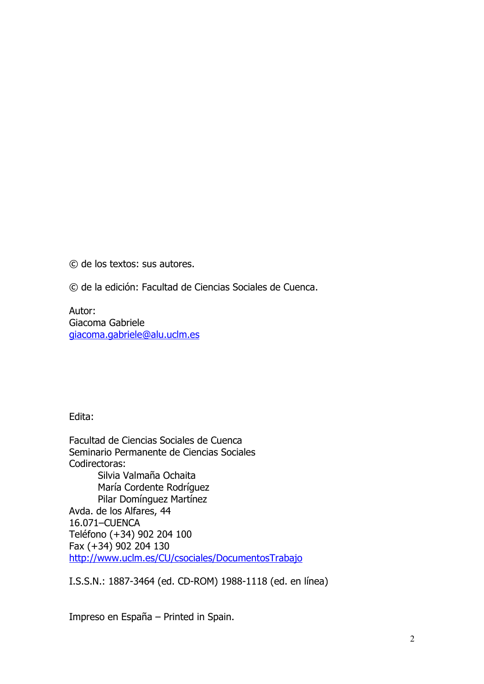© de los textos: sus autores.

© de la edición: Facultad de Ciencias Sociales de Cuenca.

Autor: Giacoma Gabriele giacoma.gabriel[e@alu.uclm.es](mailto:email@uclm.es)

Edita:

Facultad de Ciencias Sociales de Cuenca Seminario Permanente de Ciencias Sociales Codirectoras: Silvia Valmaña Ochaita María Cordente Rodríguez Pilar Domínguez Martínez Avda. de los Alfares, 44 16.071–CUENCA Teléfono (+34) 902 204 100 Fax (+34) 902 204 130 <http://www.uclm.es/CU/csociales/DocumentosTrabajo>

I.S.S.N.: 1887-3464 (ed. CD-ROM) 1988-1118 (ed. en línea)

Impreso en España – Printed in Spain.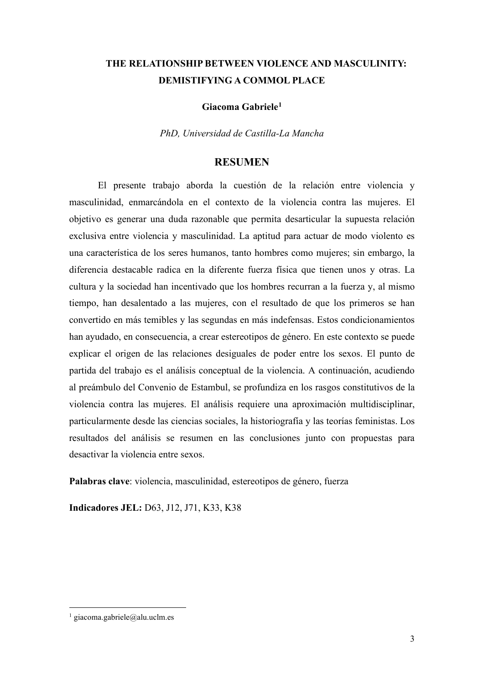# **THE RELATIONSHIP BETWEEN VIOLENCE AND MASCULINITY: DEMISTIFYING A COMMOL PLACE**

**Giacoma Gabriele[1](#page-2-0)**

*PhD, Universidad de Castilla-La Mancha*

## **RESUMEN**

El presente trabajo aborda la cuestión de la relación entre violencia y masculinidad, enmarcándola en el contexto de la violencia contra las mujeres. El objetivo es generar una duda razonable que permita desarticular la supuesta relación exclusiva entre violencia y masculinidad. La aptitud para actuar de modo violento es una característica de los seres humanos, tanto hombres como mujeres; sin embargo, la diferencia destacable radica en la diferente fuerza física que tienen unos y otras. La cultura y la sociedad han incentivado que los hombres recurran a la fuerza y, al mismo tiempo, han desalentado a las mujeres, con el resultado de que los primeros se han convertido en más temibles y las segundas en más indefensas. Estos condicionamientos han ayudado, en consecuencia, a crear estereotipos de género. En este contexto se puede explicar el origen de las relaciones desiguales de poder entre los sexos. El punto de partida del trabajo es el análisis conceptual de la violencia. A continuación, acudiendo al preámbulo del Convenio de Estambul, se profundiza en los rasgos constitutivos de la violencia contra las mujeres. El análisis requiere una aproximación multidisciplinar, particularmente desde las ciencias sociales, la historiografía y las teorías feministas. Los resultados del análisis se resumen en las conclusiones junto con propuestas para desactivar la violencia entre sexos.

**Palabras clave**: violencia, masculinidad, estereotipos de género, fuerza

**Indicadores JEL:** D63, J12, J71, K33, K38

<span id="page-2-0"></span> $1$  giacoma.gabriele@alu.uclm.es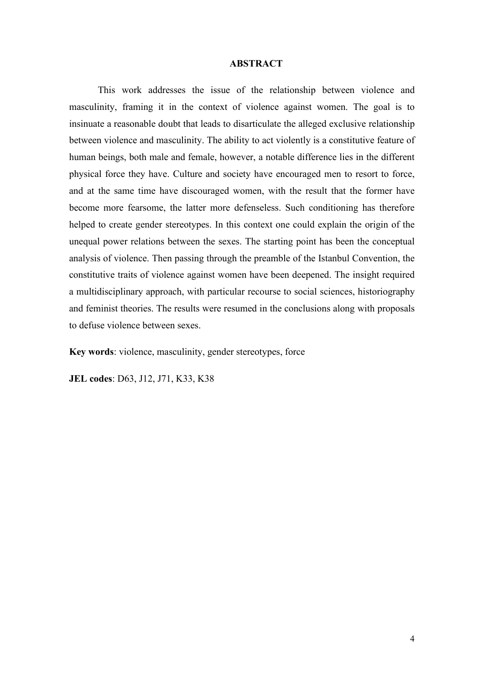#### **ABSTRACT**

This work addresses the issue of the relationship between violence and masculinity, framing it in the context of violence against women. The goal is to insinuate a reasonable doubt that leads to disarticulate the alleged exclusive relationship between violence and masculinity. The ability to act violently is a constitutive feature of human beings, both male and female, however, a notable difference lies in the different physical force they have. Culture and society have encouraged men to resort to force, and at the same time have discouraged women, with the result that the former have become more fearsome, the latter more defenseless. Such conditioning has therefore helped to create gender stereotypes. In this context one could explain the origin of the unequal power relations between the sexes. The starting point has been the conceptual analysis of violence. Then passing through the preamble of the Istanbul Convention, the constitutive traits of violence against women have been deepened. The insight required a multidisciplinary approach, with particular recourse to social sciences, historiography and feminist theories. The results were resumed in the conclusions along with proposals to defuse violence between sexes.

**Key words**: violence, masculinity, gender stereotypes, force

**JEL codes**: D63, J12, J71, K33, K38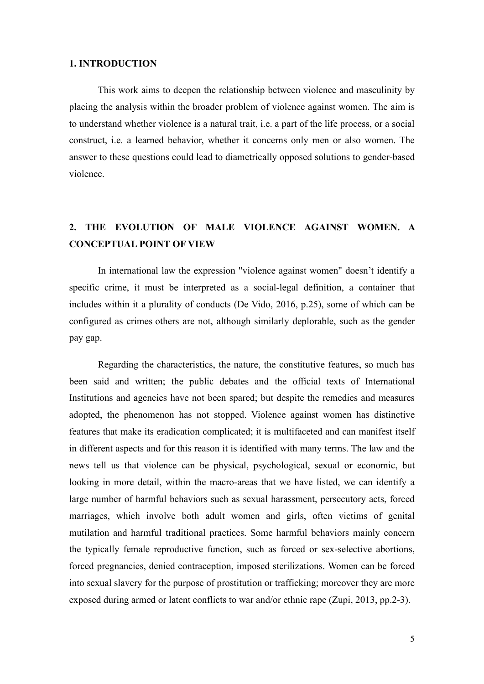## **1. INTRODUCTION**

This work aims to deepen the relationship between violence and masculinity by placing the analysis within the broader problem of violence against women. The aim is to understand whether violence is a natural trait, i.e. a part of the life process, or a social construct, i.e. a learned behavior, whether it concerns only men or also women. The answer to these questions could lead to diametrically opposed solutions to gender-based violence.

# **2. THE EVOLUTION OF MALE VIOLENCE AGAINST WOMEN. A CONCEPTUAL POINT OF VIEW**

In international law the expression "violence against women" doesn't identify a specific crime, it must be interpreted as a social-legal definition, a container that includes within it a plurality of conducts (De Vido, 2016, p.25), some of which can be configured as crimes others are not, although similarly deplorable, such as the gender pay gap.

Regarding the characteristics, the nature, the constitutive features, so much has been said and written; the public debates and the official texts of International Institutions and agencies have not been spared; but despite the remedies and measures adopted, the phenomenon has not stopped. Violence against women has distinctive features that make its eradication complicated; it is multifaceted and can manifest itself in different aspects and for this reason it is identified with many terms. The law and the news tell us that violence can be physical, psychological, sexual or economic, but looking in more detail, within the macro-areas that we have listed, we can identify a large number of harmful behaviors such as sexual harassment, persecutory acts, forced marriages, which involve both adult women and girls, often victims of genital mutilation and harmful traditional practices. Some harmful behaviors mainly concern the typically female reproductive function, such as forced or sex-selective abortions, forced pregnancies, denied contraception, imposed sterilizations. Women can be forced into sexual slavery for the purpose of prostitution or trafficking; moreover they are more exposed during armed or latent conflicts to war and/or ethnic rape (Zupi, 2013, pp.2-3).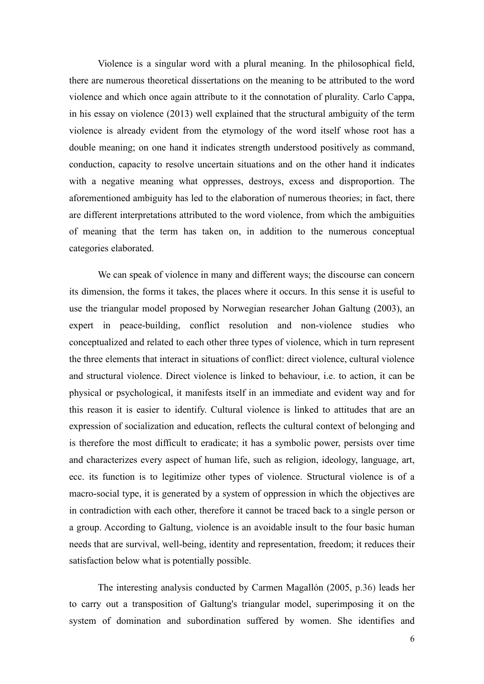Violence is a singular word with a plural meaning. In the philosophical field, there are numerous theoretical dissertations on the meaning to be attributed to the word violence and which once again attribute to it the connotation of plurality. Carlo Cappa, in his essay on violence (2013) well explained that the structural ambiguity of the term violence is already evident from the etymology of the word itself whose root has a double meaning; on one hand it indicates strength understood positively as command, conduction, capacity to resolve uncertain situations and on the other hand it indicates with a negative meaning what oppresses, destroys, excess and disproportion. The aforementioned ambiguity has led to the elaboration of numerous theories; in fact, there are different interpretations attributed to the word violence, from which the ambiguities of meaning that the term has taken on, in addition to the numerous conceptual categories elaborated.

We can speak of violence in many and different ways; the discourse can concern its dimension, the forms it takes, the places where it occurs. In this sense it is useful to use the triangular model proposed by Norwegian researcher Johan Galtung (2003), an expert in peace-building, conflict resolution and non-violence studies who conceptualized and related to each other three types of violence, which in turn represent the three elements that interact in situations of conflict: direct violence, cultural violence and structural violence. Direct violence is linked to behaviour, i.e. to action, it can be physical or psychological, it manifests itself in an immediate and evident way and for this reason it is easier to identify. Cultural violence is linked to attitudes that are an expression of socialization and education, reflects the cultural context of belonging and is therefore the most difficult to eradicate; it has a symbolic power, persists over time and characterizes every aspect of human life, such as religion, ideology, language, art, ecc. its function is to legitimize other types of violence. Structural violence is of a macro-social type, it is generated by a system of oppression in which the objectives are in contradiction with each other, therefore it cannot be traced back to a single person or a group. According to Galtung, violence is an avoidable insult to the four basic human needs that are survival, well-being, identity and representation, freedom; it reduces their satisfaction below what is potentially possible.

The interesting analysis conducted by Carmen Magallón (2005, p.36) leads her to carry out a transposition of Galtung's triangular model, superimposing it on the system of domination and subordination suffered by women. She identifies and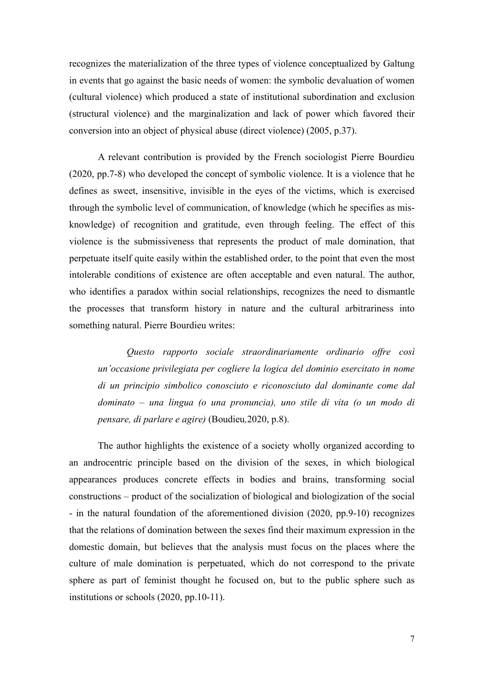recognizes the materialization of the three types of violence conceptualized by Galtung in events that go against the basic needs of women: the symbolic devaluation of women (cultural violence) which produced a state of institutional subordination and exclusion (structural violence) and the marginalization and lack of power which favored their conversion into an object of physical abuse (direct violence) (2005, p.37).

A relevant contribution is provided by the French sociologist Pierre Bourdieu (2020, pp.7-8) who developed the concept of symbolic violence. It is a violence that he defines as sweet, insensitive, invisible in the eyes of the victims, which is exercised through the symbolic level of communication, of knowledge (which he specifies as misknowledge) of recognition and gratitude, even through feeling. The effect of this violence is the submissiveness that represents the product of male domination, that perpetuate itself quite easily within the established order, to the point that even the most intolerable conditions of existence are often acceptable and even natural. The author, who identifies a paradox within social relationships, recognizes the need to dismantle the processes that transform history in nature and the cultural arbitrariness into something natural. Pierre Bourdieu writes:

*Questo rapporto sociale straordinariamente ordinario offre così un'occasione privilegiata per cogliere la logica del dominio esercitato in nome di un principio simbolico conosciuto e riconosciuto dal dominante come dal dominato – una lingua (o una pronuncia), uno stile di vita (o un modo di pensare, di parlare e agire)* (Boudieu*,*2020, p.8).

The author highlights the existence of a society wholly organized according to an androcentric principle based on the division of the sexes, in which biological appearances produces concrete effects in bodies and brains, transforming social constructions – product of the socialization of biological and biologization of the social - in the natural foundation of the aforementioned division (2020, pp.9-10) recognizes that the relations of domination between the sexes find their maximum expression in the domestic domain, but believes that the analysis must focus on the places where the culture of male domination is perpetuated, which do not correspond to the private sphere as part of feminist thought he focused on, but to the public sphere such as institutions or schools (2020, pp.10-11).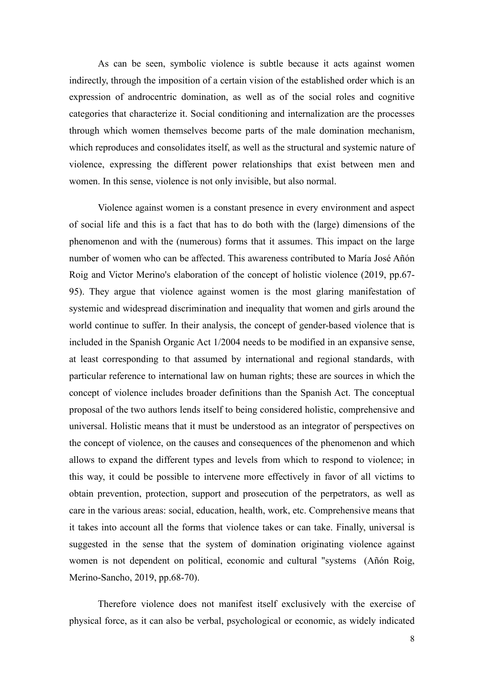As can be seen, symbolic violence is subtle because it acts against women indirectly, through the imposition of a certain vision of the established order which is an expression of androcentric domination, as well as of the social roles and cognitive categories that characterize it. Social conditioning and internalization are the processes through which women themselves become parts of the male domination mechanism, which reproduces and consolidates itself, as well as the structural and systemic nature of violence, expressing the different power relationships that exist between men and women. In this sense, violence is not only invisible, but also normal.

Violence against women is a constant presence in every environment and aspect of social life and this is a fact that has to do both with the (large) dimensions of the phenomenon and with the (numerous) forms that it assumes. This impact on the large number of women who can be affected. This awareness contributed to María José Añón Roig and Victor Merino's elaboration of the concept of holistic violence (2019, pp.67- 95). They argue that violence against women is the most glaring manifestation of systemic and widespread discrimination and inequality that women and girls around the world continue to suffer. In their analysis, the concept of gender-based violence that is included in the Spanish Organic Act 1/2004 needs to be modified in an expansive sense, at least corresponding to that assumed by international and regional standards, with particular reference to international law on human rights; these are sources in which the concept of violence includes broader definitions than the Spanish Act. The conceptual proposal of the two authors lends itself to being considered holistic, comprehensive and universal. Holistic means that it must be understood as an integrator of perspectives on the concept of violence, on the causes and consequences of the phenomenon and which allows to expand the different types and levels from which to respond to violence; in this way, it could be possible to intervene more effectively in favor of all victims to obtain prevention, protection, support and prosecution of the perpetrators, as well as care in the various areas: social, education, health, work, etc. Comprehensive means that it takes into account all the forms that violence takes or can take. Finally, universal is suggested in the sense that the system of domination originating violence against women is not dependent on political, economic and cultural "systems (Añón Roig, [Merino-Sancho,](https://dialnet.unirioja.es/servlet/autor?codigo=3480641) 2019, pp.68-70).

Therefore violence does not manifest itself exclusively with the exercise of physical force, as it can also be verbal, psychological or economic, as widely indicated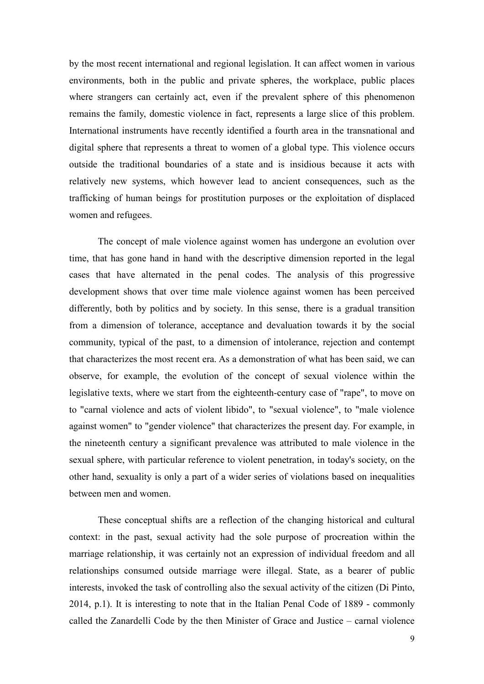by the most recent international and regional legislation. It can affect women in various environments, both in the public and private spheres, the workplace, public places where strangers can certainly act, even if the prevalent sphere of this phenomenon remains the family, domestic violence in fact, represents a large slice of this problem. International instruments have recently identified a fourth area in the transnational and digital sphere that represents a threat to women of a global type. This violence occurs outside the traditional boundaries of a state and is insidious because it acts with relatively new systems, which however lead to ancient consequences, such as the trafficking of human beings for prostitution purposes or the exploitation of displaced women and refugees.

The concept of male violence against women has undergone an evolution over time, that has gone hand in hand with the descriptive dimension reported in the legal cases that have alternated in the penal codes. The analysis of this progressive development shows that over time male violence against women has been perceived differently, both by politics and by society. In this sense, there is a gradual transition from a dimension of tolerance, acceptance and devaluation towards it by the social community, typical of the past, to a dimension of intolerance, rejection and contempt that characterizes the most recent era. As a demonstration of what has been said, we can observe, for example, the evolution of the concept of sexual violence within the legislative texts, where we start from the eighteenth-century case of "rape", to move on to "carnal violence and acts of violent libido", to "sexual violence", to "male violence against women" to "gender violence" that characterizes the present day. For example, in the nineteenth century a significant prevalence was attributed to male violence in the sexual sphere, with particular reference to violent penetration, in today's society, on the other hand, sexuality is only a part of a wider series of violations based on inequalities between men and women.

These conceptual shifts are a reflection of the changing historical and cultural context: in the past, sexual activity had the sole purpose of procreation within the marriage relationship, it was certainly not an expression of individual freedom and all relationships consumed outside marriage were illegal. State, as a bearer of public interests, invoked the task of controlling also the sexual activity of the citizen (Di Pinto, 2014, p.1). It is interesting to note that in the Italian Penal Code of 1889 - commonly called the Zanardelli Code by the then Minister of Grace and Justice – carnal violence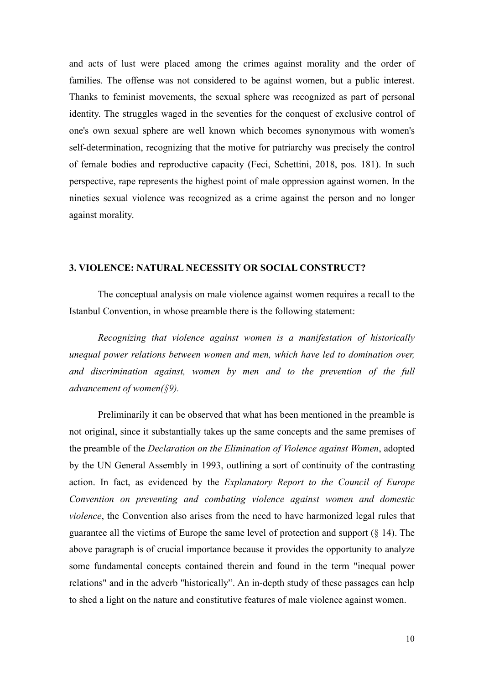and acts of lust were placed among the crimes against morality and the order of families. The offense was not considered to be against women, but a public interest. Thanks to feminist movements, the sexual sphere was recognized as part of personal identity. The struggles waged in the seventies for the conquest of exclusive control of one's own sexual sphere are well known which becomes synonymous with women's self-determination, recognizing that the motive for patriarchy was precisely the control of female bodies and reproductive capacity (Feci, Schettini, 2018, pos. 181). In such perspective, rape represents the highest point of male oppression against women. In the nineties sexual violence was recognized as a crime against the person and no longer against morality.

### **3. VIOLENCE: NATURAL NECESSITY OR SOCIAL CONSTRUCT?**

The conceptual analysis on male violence against women requires a recall to the Istanbul Convention, in whose preamble there is the following statement:

*Recognizing that violence against women is a manifestation of historically unequal power relations between women and men, which have led to domination over, and discrimination against, women by men and to the prevention of the full advancement of women(§9).*

Preliminarily it can be observed that what has been mentioned in the preamble is not original, since it substantially takes up the same concepts and the same premises of the preamble of the *Declaration on the Elimination of Violence against Women*, adopted by the UN General Assembly in 1993, outlining a sort of continuity of the contrasting action. In fact, as evidenced by the *Explanatory Report to the Council of Europe Convention on preventing and combating violence against women and domestic violence*, the Convention also arises from the need to have harmonized legal rules that guarantee all the victims of Europe the same level of protection and support (§ 14). The above paragraph is of crucial importance because it provides the opportunity to analyze some fundamental concepts contained therein and found in the term "inequal power relations" and in the adverb "historically". An in-depth study of these passages can help to shed a light on the nature and constitutive features of male violence against women.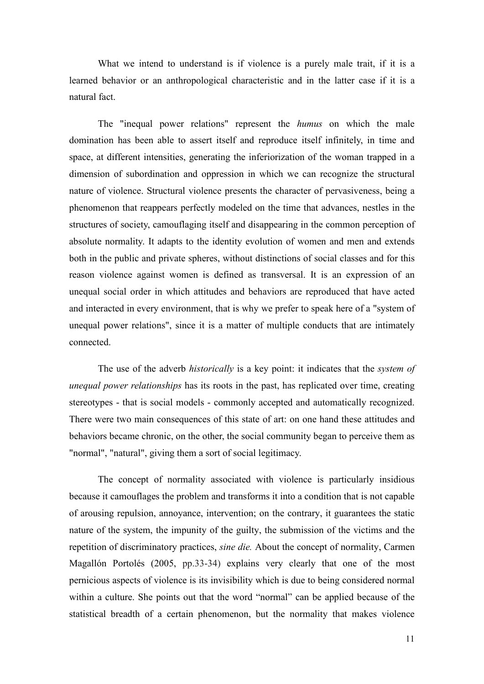What we intend to understand is if violence is a purely male trait, if it is a learned behavior or an anthropological characteristic and in the latter case if it is a natural fact.

The "inequal power relations" represent the *humus* on which the male domination has been able to assert itself and reproduce itself infinitely, in time and space, at different intensities, generating the inferiorization of the woman trapped in a dimension of subordination and oppression in which we can recognize the structural nature of violence. Structural violence presents the character of pervasiveness, being a phenomenon that reappears perfectly modeled on the time that advances, nestles in the structures of society, camouflaging itself and disappearing in the common perception of absolute normality. It adapts to the identity evolution of women and men and extends both in the public and private spheres, without distinctions of social classes and for this reason violence against women is defined as transversal. It is an expression of an unequal social order in which attitudes and behaviors are reproduced that have acted and interacted in every environment, that is why we prefer to speak here of a "system of unequal power relations", since it is a matter of multiple conducts that are intimately connected.

The use of the adverb *historically* is a key point: it indicates that the *system of unequal power relationships* has its roots in the past, has replicated over time, creating stereotypes - that is social models - commonly accepted and automatically recognized. There were two main consequences of this state of art: on one hand these attitudes and behaviors became chronic, on the other, the social community began to perceive them as "normal", "natural", giving them a sort of social legitimacy.

The concept of normality associated with violence is particularly insidious because it camouflages the problem and transforms it into a condition that is not capable of arousing repulsion, annoyance, intervention; on the contrary, it guarantees the static nature of the system, the impunity of the guilty, the submission of the victims and the repetition of discriminatory practices, *sine die.* About the concept of normality, Carmen Magallón Portolés (2005, pp.33-34) explains very clearly that one of the most pernicious aspects of violence is its invisibility which is due to being considered normal within a culture. She points out that the word "normal" can be applied because of the statistical breadth of a certain phenomenon, but the normality that makes violence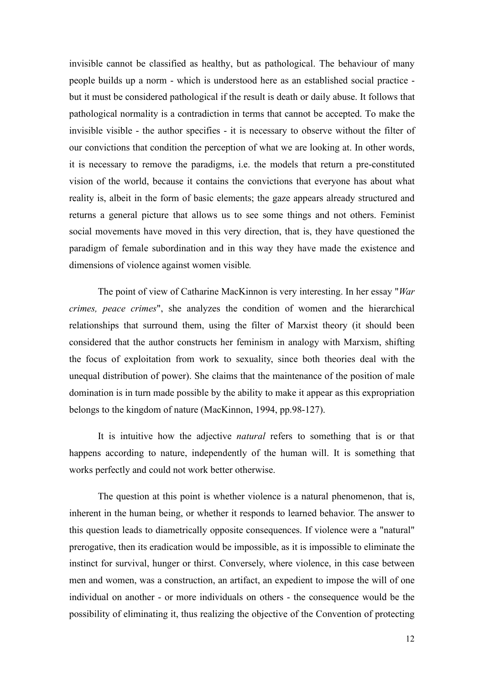invisible cannot be classified as healthy, but as pathological. The behaviour of many people builds up a norm - which is understood here as an established social practice but it must be considered pathological if the result is death or daily abuse. It follows that pathological normality is a contradiction in terms that cannot be accepted. To make the invisible visible - the author specifies - it is necessary to observe without the filter of our convictions that condition the perception of what we are looking at. In other words, it is necessary to remove the paradigms, i.e. the models that return a pre-constituted vision of the world, because it contains the convictions that everyone has about what reality is, albeit in the form of basic elements; the gaze appears already structured and returns a general picture that allows us to see some things and not others. Feminist social movements have moved in this very direction, that is, they have questioned the paradigm of female subordination and in this way they have made the existence and dimensions of violence against women visible*.*

The point of view of Catharine MacKinnon is very interesting. In her essay "*War crimes, peace crimes*", she analyzes the condition of women and the hierarchical relationships that surround them, using the filter of Marxist theory (it should been considered that the author constructs her feminism in analogy with Marxism, shifting the focus of exploitation from work to sexuality, since both theories deal with the unequal distribution of power). She claims that the maintenance of the position of male domination is in turn made possible by the ability to make it appear as this expropriation belongs to the kingdom of nature (MacKinnon, 1994, pp.98-127).

It is intuitive how the adjective *natural* refers to something that is or that happens according to nature, independently of the human will. It is something that works perfectly and could not work better otherwise.

The question at this point is whether violence is a natural phenomenon, that is, inherent in the human being, or whether it responds to learned behavior. The answer to this question leads to diametrically opposite consequences. If violence were a "natural" prerogative, then its eradication would be impossible, as it is impossible to eliminate the instinct for survival, hunger or thirst. Conversely, where violence, in this case between men and women, was a construction, an artifact, an expedient to impose the will of one individual on another - or more individuals on others - the consequence would be the possibility of eliminating it, thus realizing the objective of the Convention of protecting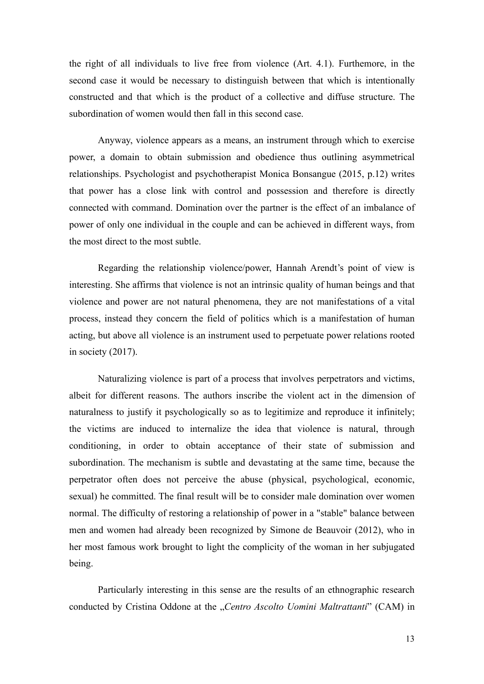the right of all individuals to live free from violence (Art. 4.1). Furthemore, in the second case it would be necessary to distinguish between that which is intentionally constructed and that which is the product of a collective and diffuse structure. The subordination of women would then fall in this second case.

Anyway, violence appears as a means, an instrument through which to exercise power, a domain to obtain submission and obedience thus outlining asymmetrical relationships. Psychologist and psychotherapist Monica Bonsangue (2015, p.12) writes that power has a close link with control and possession and therefore is directly connected with command. Domination over the partner is the effect of an imbalance of power of only one individual in the couple and can be achieved in different ways, from the most direct to the most subtle.

Regarding the relationship violence/power, Hannah Arendt's point of view is interesting. She affirms that violence is not an intrinsic quality of human beings and that violence and power are not natural phenomena, they are not manifestations of a vital process, instead they concern the field of politics which is a manifestation of human acting, but above all violence is an instrument used to perpetuate power relations rooted in society (2017).

Naturalizing violence is part of a process that involves perpetrators and victims, albeit for different reasons. The authors inscribe the violent act in the dimension of naturalness to justify it psychologically so as to legitimize and reproduce it infinitely; the victims are induced to internalize the idea that violence is natural, through conditioning, in order to obtain acceptance of their state of submission and subordination. The mechanism is subtle and devastating at the same time, because the perpetrator often does not perceive the abuse (physical, psychological, economic, sexual) he committed. The final result will be to consider male domination over women normal. The difficulty of restoring a relationship of power in a "stable" balance between men and women had already been recognized by Simone de Beauvoir (2012), who in her most famous work brought to light the complicity of the woman in her subjugated being.

Particularly interesting in this sense are the results of an ethnographic research conducted by Cristina Oddone at the "*Centro Ascolto Uomini Maltrattanti*" (CAM) in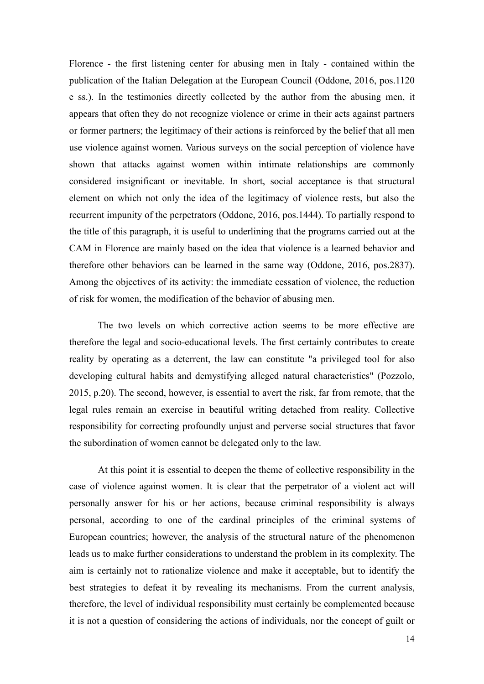Florence - the first listening center for abusing men in Italy - contained within the publication of the Italian Delegation at the European Council (Oddone, 2016, pos.1120 e ss.). In the testimonies directly collected by the author from the abusing men, it appears that often they do not recognize violence or crime in their acts against partners or former partners; the legitimacy of their actions is reinforced by the belief that all men use violence against women. Various surveys on the social perception of violence have shown that attacks against women within intimate relationships are commonly considered insignificant or inevitable. In short, social acceptance is that structural element on which not only the idea of the legitimacy of violence rests, but also the recurrent impunity of the perpetrators (Oddone, 2016, pos.1444). To partially respond to the title of this paragraph, it is useful to underlining that the programs carried out at the CAM in Florence are mainly based on the idea that violence is a learned behavior and therefore other behaviors can be learned in the same way (Oddone, 2016, pos.2837). Among the objectives of its activity: the immediate cessation of violence, the reduction of risk for women, the modification of the behavior of abusing men.

The two levels on which corrective action seems to be more effective are therefore the legal and socio-educational levels. The first certainly contributes to create reality by operating as a deterrent, the law can constitute "a privileged tool for also developing cultural habits and demystifying alleged natural characteristics" (Pozzolo, 2015, p.20). The second, however, is essential to avert the risk, far from remote, that the legal rules remain an exercise in beautiful writing detached from reality. Collective responsibility for correcting profoundly unjust and perverse social structures that favor the subordination of women cannot be delegated only to the law.

At this point it is essential to deepen the theme of collective responsibility in the case of violence against women. It is clear that the perpetrator of a violent act will personally answer for his or her actions, because criminal responsibility is always personal, according to one of the cardinal principles of the criminal systems of European countries; however, the analysis of the structural nature of the phenomenon leads us to make further considerations to understand the problem in its complexity. The aim is certainly not to rationalize violence and make it acceptable, but to identify the best strategies to defeat it by revealing its mechanisms. From the current analysis, therefore, the level of individual responsibility must certainly be complemented because it is not a question of considering the actions of individuals, nor the concept of guilt or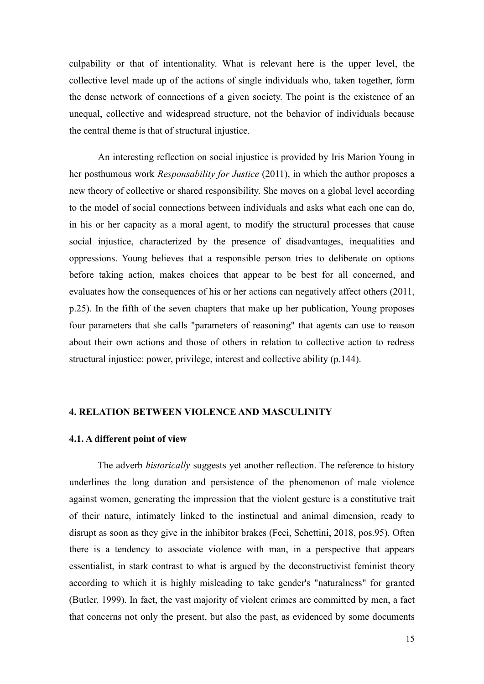culpability or that of intentionality. What is relevant here is the upper level, the collective level made up of the actions of single individuals who, taken together, form the dense network of connections of a given society. The point is the existence of an unequal, collective and widespread structure, not the behavior of individuals because the central theme is that of structural injustice.

An interesting reflection on social injustice is provided by Iris Marion Young in her posthumous work *Responsability for Justice* (2011), in which the author proposes a new theory of collective or shared responsibility. She moves on a global level according to the model of social connections between individuals and asks what each one can do, in his or her capacity as a moral agent, to modify the structural processes that cause social injustice, characterized by the presence of disadvantages, inequalities and oppressions. Young believes that a responsible person tries to deliberate on options before taking action, makes choices that appear to be best for all concerned, and evaluates how the consequences of his or her actions can negatively affect others (2011, p.25). In the fifth of the seven chapters that make up her publication, Young proposes four parameters that she calls "parameters of reasoning" that agents can use to reason about their own actions and those of others in relation to collective action to redress structural injustice: power, privilege, interest and collective ability (p.144).

## **4. RELATION BETWEEN VIOLENCE AND MASCULINITY**

### **4.1. A different point of view**

The adverb *historically* suggests yet another reflection. The reference to history underlines the long duration and persistence of the phenomenon of male violence against women, generating the impression that the violent gesture is a constitutive trait of their nature, intimately linked to the instinctual and animal dimension, ready to disrupt as soon as they give in the inhibitor brakes (Feci, Schettini, 2018, pos.95). Often there is a tendency to associate violence with man, in a perspective that appears essentialist, in stark contrast to what is argued by the deconstructivist feminist theory according to which it is highly misleading to take gender's "naturalness" for granted (Butler, 1999). In fact, the vast majority of violent crimes are committed by men, a fact that concerns not only the present, but also the past, as evidenced by some documents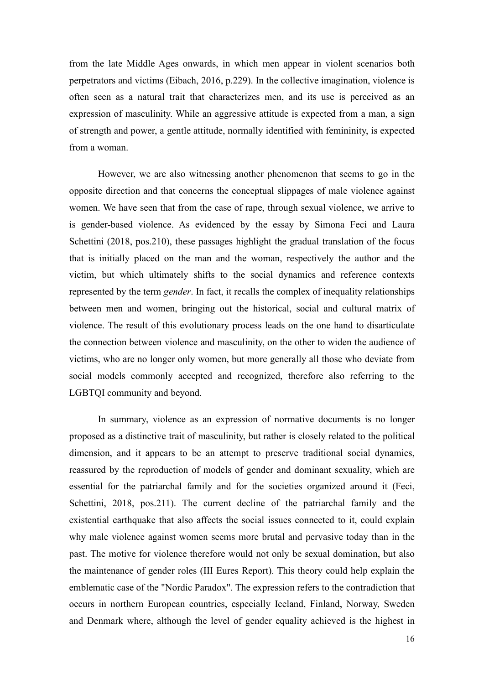from the late Middle Ages onwards, in which men appear in violent scenarios both perpetrators and victims (Eibach, 2016, p.229). In the collective imagination, violence is often seen as a natural trait that characterizes men, and its use is perceived as an expression of masculinity. While an aggressive attitude is expected from a man, a sign of strength and power, a gentle attitude, normally identified with femininity, is expected from a woman.

However, we are also witnessing another phenomenon that seems to go in the opposite direction and that concerns the conceptual slippages of male violence against women. We have seen that from the case of rape, through sexual violence, we arrive to is gender-based violence. As evidenced by the essay by Simona Feci and Laura Schettini (2018, pos. 210), these passages highlight the gradual translation of the focus that is initially placed on the man and the woman, respectively the author and the victim, but which ultimately shifts to the social dynamics and reference contexts represented by the term *gender*. In fact, it recalls the complex of inequality relationships between men and women, bringing out the historical, social and cultural matrix of violence. The result of this evolutionary process leads on the one hand to disarticulate the connection between violence and masculinity, on the other to widen the audience of victims, who are no longer only women, but more generally all those who deviate from social models commonly accepted and recognized, therefore also referring to the LGBTQI community and beyond.

In summary, violence as an expression of normative documents is no longer proposed as a distinctive trait of masculinity, but rather is closely related to the political dimension, and it appears to be an attempt to preserve traditional social dynamics, reassured by the reproduction of models of gender and dominant sexuality, which are essential for the patriarchal family and for the societies organized around it (Feci, Schettini, 2018, pos.211). The current decline of the patriarchal family and the existential earthquake that also affects the social issues connected to it, could explain why male violence against women seems more brutal and pervasive today than in the past. The motive for violence therefore would not only be sexual domination, but also the maintenance of gender roles (III Eures Report). This theory could help explain the emblematic case of the "Nordic Paradox". The expression refers to the contradiction that occurs in northern European countries, especially Iceland, Finland, Norway, Sweden and Denmark where, although the level of gender equality achieved is the highest in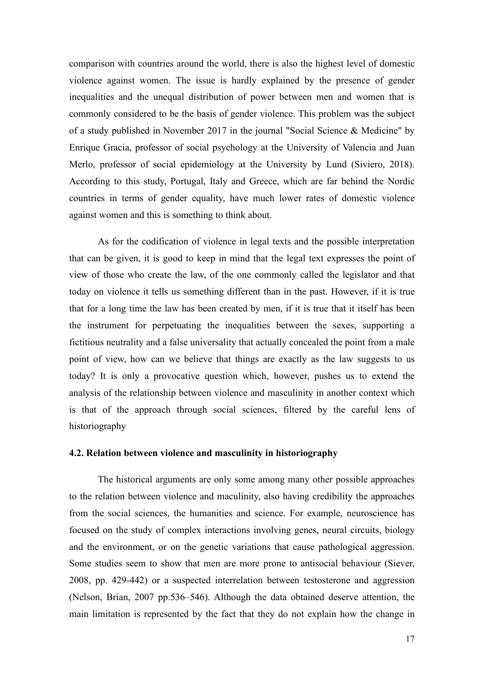comparison with countries around the world, there is also the highest level of domestic violence against women. The issue is hardly explained by the presence of gender inequalities and the unequal distribution of power between men and women that is commonly considered to be the basis of gender violence. This problem was the subject of a study published in November 2017 in the journal "Social Science & Medicine" by Enrique Gracia, professor of social psychology at the University of Valencia and Juan Merlo, professor of social epidemiology at the University by Lund (Siviero, 2018). According to this study, Portugal, Italy and Greece, which are far behind the Nordic countries in terms of gender equality, have much lower rates of domestic violence against women and this is something to think about.

As for the codification of violence in legal texts and the possible interpretation that can be given, it is good to keep in mind that the legal text expresses the point of view of those who create the law, of the one commonly called the legislator and that today on violence it tells us something different than in the past. However, if it is true that for a long time the law has been created by men, if it is true that it itself has been the instrument for perpetuating the inequalities between the sexes, supporting a fictitious neutrality and a false universality that actually concealed the point from a male point of view, how can we believe that things are exactly as the law suggests to us today? It is only a provocative question which, however, pushes us to extend the analysis of the relationship between violence and masculinity in another context which is that of the approach through social sciences, filtered by the careful lens of historiography

## **4.2. Relation between violence and masculinity in historiography**

The historical arguments are only some among many other possible approaches to the relation between violence and maculinity, also having credibility the approaches from the social sciences, the humanities and science. For example, neuroscience has focused on the study of complex interactions involving genes, neural circuits, biology and the environment, or on the genetic variations that cause pathological aggression. Some studies seem to show that men are more prone to antisocial behaviour (Siever, 2008, pp. 429-442) or a suspected interrelation between testosterone and aggression (Nelson, Brian, 2007 pp.536–546). Although the data obtained deserve attention, the main limitation is represented by the fact that they do not explain how the change in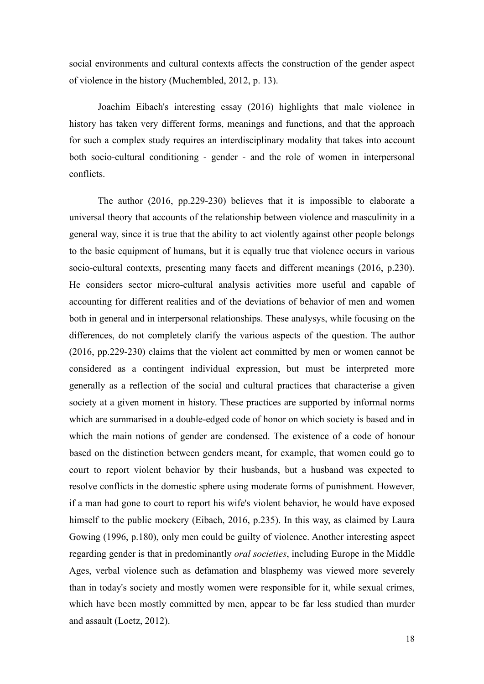social environments and cultural contexts affects the construction of the gender aspect of violence in the history (Muchembled, 2012, p. 13).

Joachim Eibach's interesting essay (2016) highlights that male violence in history has taken very different forms, meanings and functions, and that the approach for such a complex study requires an interdisciplinary modality that takes into account both socio-cultural conditioning - gender - and the role of women in interpersonal conflicts.

The author (2016, pp.229-230) believes that it is impossible to elaborate a universal theory that accounts of the relationship between violence and masculinity in a general way, since it is true that the ability to act violently against other people belongs to the basic equipment of humans, but it is equally true that violence occurs in various socio-cultural contexts, presenting many facets and different meanings (2016, p.230). He considers sector micro-cultural analysis activities more useful and capable of accounting for different realities and of the deviations of behavior of men and women both in general and in interpersonal relationships. These analysys, while focusing on the differences, do not completely clarify the various aspects of the question. The author (2016, pp.229-230) claims that the violent act committed by men or women cannot be considered as a contingent individual expression, but must be interpreted more generally as a reflection of the social and cultural practices that characterise a given society at a given moment in history. These practices are supported by informal norms which are summarised in a double-edged code of honor on which society is based and in which the main notions of gender are condensed. The existence of a code of honour based on the distinction between genders meant, for example, that women could go to court to report violent behavior by their husbands, but a husband was expected to resolve conflicts in the domestic sphere using moderate forms of punishment. However, if a man had gone to court to report his wife's violent behavior, he would have exposed himself to the public mockery (Eibach, 2016, p.235). In this way, as claimed by Laura Gowing (1996, p.180), only men could be guilty of violence. Another interesting aspect regarding gender is that in predominantly *oral societies*, including Europe in the Middle Ages, verbal violence such as defamation and blasphemy was viewed more severely than in today's society and mostly women were responsible for it, while sexual crimes, which have been mostly committed by men, appear to be far less studied than murder and assault (Loetz, 2012).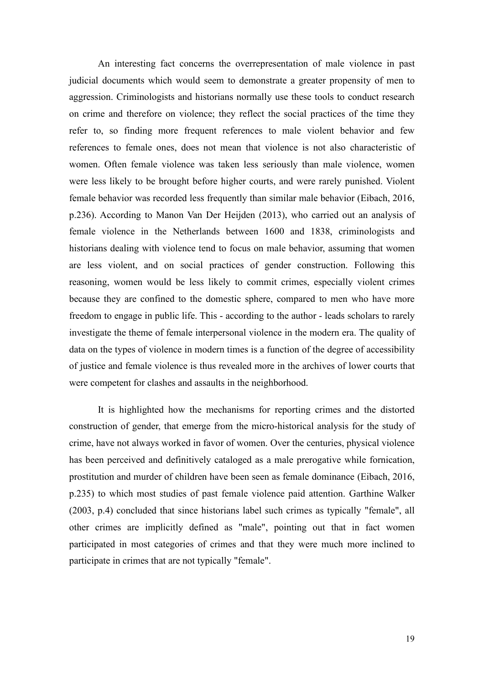An interesting fact concerns the overrepresentation of male violence in past judicial documents which would seem to demonstrate a greater propensity of men to aggression. Criminologists and historians normally use these tools to conduct research on crime and therefore on violence; they reflect the social practices of the time they refer to, so finding more frequent references to male violent behavior and few references to female ones, does not mean that violence is not also characteristic of women. Often female violence was taken less seriously than male violence, women were less likely to be brought before higher courts, and were rarely punished. Violent female behavior was recorded less frequently than similar male behavior (Eibach, 2016, p.236). According to Manon Van Der Heijden (2013), who carried out an analysis of female violence in the Netherlands between 1600 and 1838, criminologists and historians dealing with violence tend to focus on male behavior, assuming that women are less violent, and on social practices of gender construction. Following this reasoning, women would be less likely to commit crimes, especially violent crimes because they are confined to the domestic sphere, compared to men who have more freedom to engage in public life. This - according to the author - leads scholars to rarely investigate the theme of female interpersonal violence in the modern era. The quality of data on the types of violence in modern times is a function of the degree of accessibility of justice and female violence is thus revealed more in the archives of lower courts that were competent for clashes and assaults in the neighborhood.

It is highlighted how the mechanisms for reporting crimes and the distorted construction of gender, that emerge from the micro-historical analysis for the study of crime, have not always worked in favor of women. Over the centuries, physical violence has been perceived and definitively cataloged as a male prerogative while fornication, prostitution and murder of children have been seen as female dominance (Eibach, 2016, p.235) to which most studies of past female violence paid attention. Garthine Walker (2003, p.4) concluded that since historians label such crimes as typically "female", all other crimes are implicitly defined as "male", pointing out that in fact women participated in most categories of crimes and that they were much more inclined to participate in crimes that are not typically "female".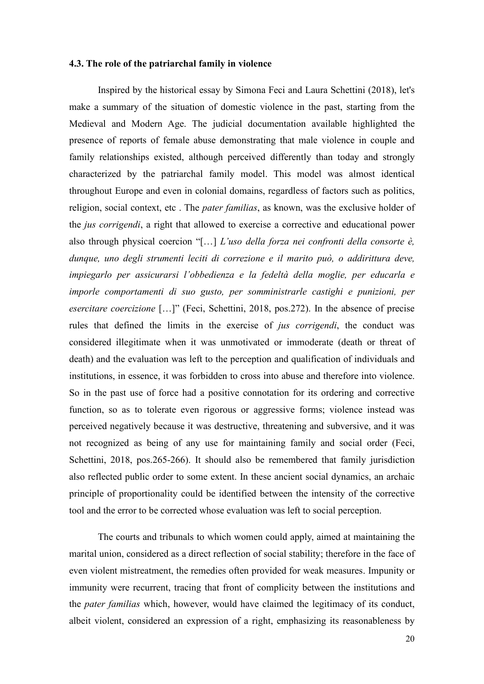## **4.3. The role of the patriarchal family in violence**

Inspired by the historical essay by Simona Feci and Laura Schettini (2018), let's make a summary of the situation of domestic violence in the past, starting from the Medieval and Modern Age. The judicial documentation available highlighted the presence of reports of female abuse demonstrating that male violence in couple and family relationships existed, although perceived differently than today and strongly characterized by the patriarchal family model. This model was almost identical throughout Europe and even in colonial domains, regardless of factors such as politics, religion, social context, etc . The *pater familias*, as known, was the exclusive holder of the *jus corrigendi*, a right that allowed to exercise a corrective and educational power also through physical coercion "[…] *L'uso della forza nei confronti della consorte è, dunque, uno degli strumenti leciti di correzione e il marito può, o addirittura deve, impiegarlo per assicurarsi l'obbedienza e la fedeltà della moglie, per educarla e imporle comportamenti di suo gusto, per somministrarle castighi e punizioni, per esercitare coercizione* […]" (Feci, Schettini, 2018, pos.272). In the absence of precise rules that defined the limits in the exercise of *jus corrigendi*, the conduct was considered illegitimate when it was unmotivated or immoderate (death or threat of death) and the evaluation was left to the perception and qualification of individuals and institutions, in essence, it was forbidden to cross into abuse and therefore into violence. So in the past use of force had a positive connotation for its ordering and corrective function, so as to tolerate even rigorous or aggressive forms; violence instead was perceived negatively because it was destructive, threatening and subversive, and it was not recognized as being of any use for maintaining family and social order (Feci, Schettini, 2018, pos.265-266). It should also be remembered that family jurisdiction also reflected public order to some extent. In these ancient social dynamics, an archaic principle of proportionality could be identified between the intensity of the corrective tool and the error to be corrected whose evaluation was left to social perception.

The courts and tribunals to which women could apply, aimed at maintaining the marital union, considered as a direct reflection of social stability; therefore in the face of even violent mistreatment, the remedies often provided for weak measures. Impunity or immunity were recurrent, tracing that front of complicity between the institutions and the *pater familias* which, however, would have claimed the legitimacy of its conduct, albeit violent, considered an expression of a right, emphasizing its reasonableness by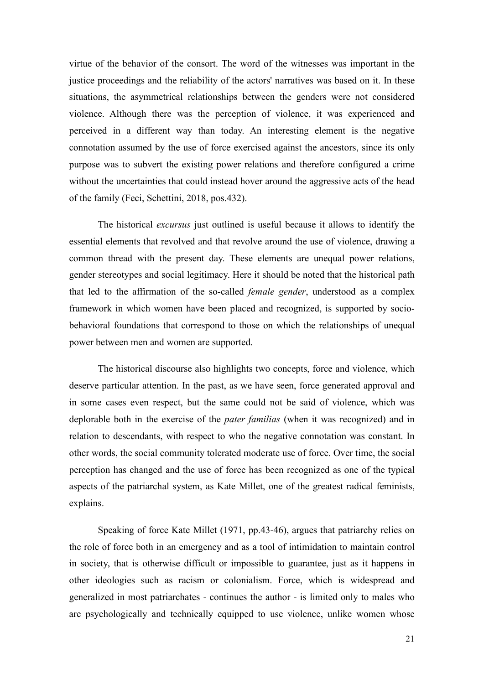virtue of the behavior of the consort. The word of the witnesses was important in the justice proceedings and the reliability of the actors' narratives was based on it. In these situations, the asymmetrical relationships between the genders were not considered violence. Although there was the perception of violence, it was experienced and perceived in a different way than today. An interesting element is the negative connotation assumed by the use of force exercised against the ancestors, since its only purpose was to subvert the existing power relations and therefore configured a crime without the uncertainties that could instead hover around the aggressive acts of the head of the family (Feci, Schettini, 2018, pos.432).

The historical *excursus* just outlined is useful because it allows to identify the essential elements that revolved and that revolve around the use of violence, drawing a common thread with the present day. These elements are unequal power relations, gender stereotypes and social legitimacy. Here it should be noted that the historical path that led to the affirmation of the so-called *female gender*, understood as a complex framework in which women have been placed and recognized, is supported by sociobehavioral foundations that correspond to those on which the relationships of unequal power between men and women are supported.

The historical discourse also highlights two concepts, force and violence, which deserve particular attention. In the past, as we have seen, force generated approval and in some cases even respect, but the same could not be said of violence, which was deplorable both in the exercise of the *pater familias* (when it was recognized) and in relation to descendants, with respect to who the negative connotation was constant. In other words, the social community tolerated moderate use of force. Over time, the social perception has changed and the use of force has been recognized as one of the typical aspects of the patriarchal system, as Kate Millet, one of the greatest radical feminists, explains.

Speaking of force Kate Millet (1971, pp.43-46), argues that patriarchy relies on the role of force both in an emergency and as a tool of intimidation to maintain control in society, that is otherwise difficult or impossible to guarantee, just as it happens in other ideologies such as racism or colonialism. Force, which is widespread and generalized in most patriarchates - continues the author - is limited only to males who are psychologically and technically equipped to use violence, unlike women whose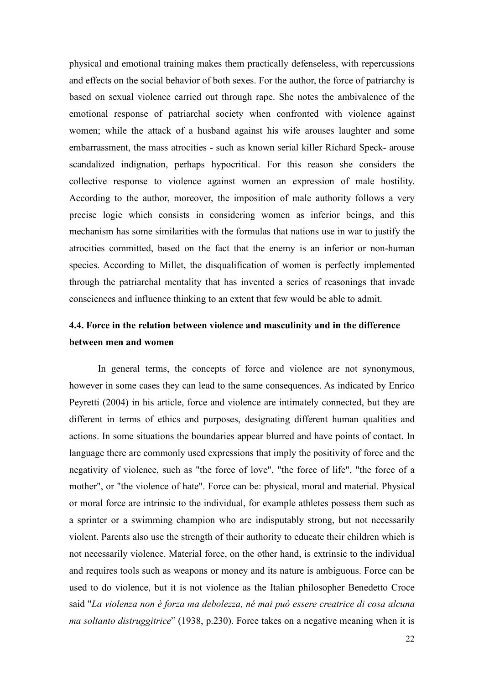physical and emotional training makes them practically defenseless, with repercussions and effects on the social behavior of both sexes. For the author, the force of patriarchy is based on sexual violence carried out through rape. She notes the ambivalence of the emotional response of patriarchal society when confronted with violence against women; while the attack of a husband against his wife arouses laughter and some embarrassment, the mass atrocities - such as known serial killer Richard Speck- arouse scandalized indignation, perhaps hypocritical. For this reason she considers the collective response to violence against women an expression of male hostility. According to the author, moreover, the imposition of male authority follows a very precise logic which consists in considering women as inferior beings, and this mechanism has some similarities with the formulas that nations use in war to justify the atrocities committed, based on the fact that the enemy is an inferior or non-human species. According to Millet, the disqualification of women is perfectly implemented through the patriarchal mentality that has invented a series of reasonings that invade consciences and influence thinking to an extent that few would be able to admit.

## **4.4. Force in the relation between violence and masculinity and in the difference between men and women**

In general terms, the concepts of force and violence are not synonymous, however in some cases they can lead to the same consequences. As indicated by Enrico Peyretti (2004) in his article, force and violence are intimately connected, but they are different in terms of ethics and purposes, designating different human qualities and actions. In some situations the boundaries appear blurred and have points of contact. In language there are commonly used expressions that imply the positivity of force and the negativity of violence, such as "the force of love", "the force of life", "the force of a mother", or "the violence of hate". Force can be: physical, moral and material. Physical or moral force are intrinsic to the individual, for example athletes possess them such as a sprinter or a swimming champion who are indisputably strong, but not necessarily violent. Parents also use the strength of their authority to educate their children which is not necessarily violence. Material force, on the other hand, is extrinsic to the individual and requires tools such as weapons or money and its nature is ambiguous. Force can be used to do violence, but it is not violence as the Italian philosopher Benedetto Croce said "*La violenza non è forza ma debolezza, né mai può essere creatrice di cosa alcuna ma soltanto distruggitrice*" (1938, p.230). Force takes on a negative meaning when it is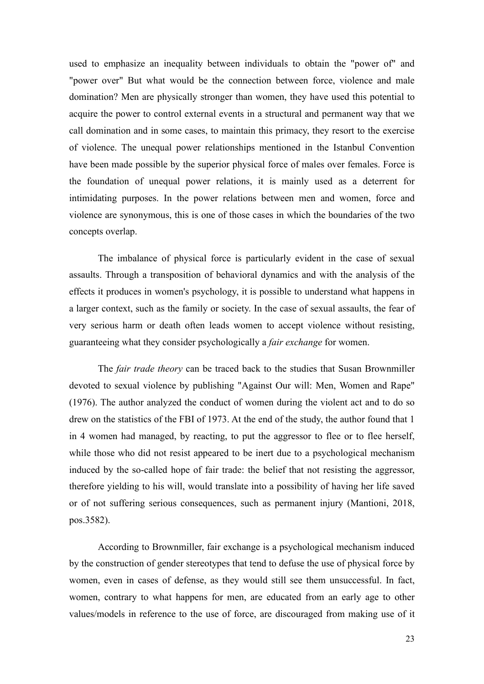used to emphasize an inequality between individuals to obtain the "power of" and "power over" But what would be the connection between force, violence and male domination? Men are physically stronger than women, they have used this potential to acquire the power to control external events in a structural and permanent way that we call domination and in some cases, to maintain this primacy, they resort to the exercise of violence. The unequal power relationships mentioned in the Istanbul Convention have been made possible by the superior physical force of males over females. Force is the foundation of unequal power relations, it is mainly used as a deterrent for intimidating purposes. In the power relations between men and women, force and violence are synonymous, this is one of those cases in which the boundaries of the two concepts overlap.

The imbalance of physical force is particularly evident in the case of sexual assaults. Through a transposition of behavioral dynamics and with the analysis of the effects it produces in women's psychology, it is possible to understand what happens in a larger context, such as the family or society. In the case of sexual assaults, the fear of very serious harm or death often leads women to accept violence without resisting, guaranteeing what they consider psychologically a *fair exchange* for women.

The *fair trade theory* can be traced back to the studies that Susan Brownmiller devoted to sexual violence by publishing "Against Our will: Men, Women and Rape" (1976). The author analyzed the conduct of women during the violent act and to do so drew on the statistics of the FBI of 1973. At the end of the study, the author found that 1 in 4 women had managed, by reacting, to put the aggressor to flee or to flee herself, while those who did not resist appeared to be inert due to a psychological mechanism induced by the so-called hope of fair trade: the belief that not resisting the aggressor, therefore yielding to his will, would translate into a possibility of having her life saved or of not suffering serious consequences, such as permanent injury (Mantioni, 2018, pos.3582).

According to Brownmiller, fair exchange is a psychological mechanism induced by the construction of gender stereotypes that tend to defuse the use of physical force by women, even in cases of defense, as they would still see them unsuccessful. In fact, women, contrary to what happens for men, are educated from an early age to other values/models in reference to the use of force, are discouraged from making use of it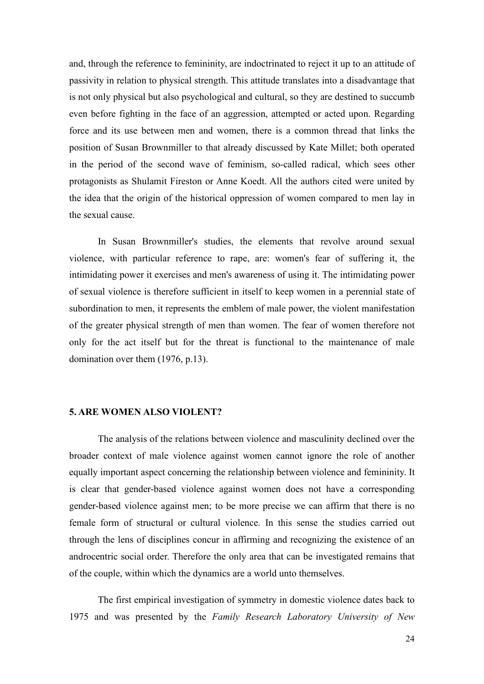and, through the reference to femininity, are indoctrinated to reject it up to an attitude of passivity in relation to physical strength. This attitude translates into a disadvantage that is not only physical but also psychological and cultural, so they are destined to succumb even before fighting in the face of an aggression, attempted or acted upon. Regarding force and its use between men and women, there is a common thread that links the position of Susan Brownmiller to that already discussed by Kate Millet; both operated in the period of the second wave of feminism, so-called radical, which sees other protagonists as Shulamit Fireston or Anne Koedt. All the authors cited were united by the idea that the origin of the historical oppression of women compared to men lay in the sexual cause.

In Susan Brownmiller's studies, the elements that revolve around sexual violence, with particular reference to rape, are: women's fear of suffering it, the intimidating power it exercises and men's awareness of using it. The intimidating power of sexual violence is therefore sufficient in itself to keep women in a perennial state of subordination to men, it represents the emblem of male power, the violent manifestation of the greater physical strength of men than women. The fear of women therefore not only for the act itself but for the threat is functional to the maintenance of male domination over them (1976, p.13).

### **5. ARE WOMEN ALSO VIOLENT?**

The analysis of the relations between violence and masculinity declined over the broader context of male violence against women cannot ignore the role of another equally important aspect concerning the relationship between violence and femininity. It is clear that gender-based violence against women does not have a corresponding gender-based violence against men; to be more precise we can affirm that there is no female form of structural or cultural violence. In this sense the studies carried out through the lens of disciplines concur in affirming and recognizing the existence of an androcentric social order. Therefore the only area that can be investigated remains that of the couple, within which the dynamics are a world unto themselves.

The first empirical investigation of symmetry in domestic violence dates back to 1975 and was presented by the *Family Research Laboratory University of New*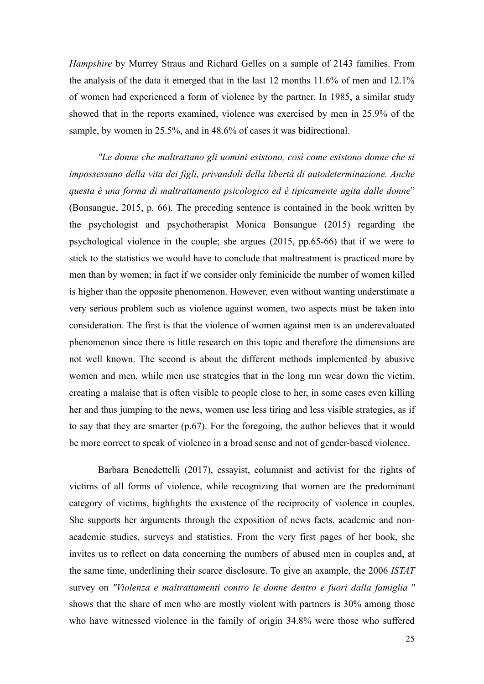*Hampshire* by Murrey Straus and Richard Gelles on a sample of 2143 families. From the analysis of the data it emerged that in the last 12 months 11.6% of men and 12.1% of women had experienced a form of violence by the partner. In 1985, a similar study showed that in the reports examined, violence was exercised by men in 25.9% of the sample, by women in 25.5%, and in 48.6% of cases it was bidirectional.

*"Le donne che maltrattano gli uomini esistono, così come esistono donne che si impossessano della vita dei figli, privandoli della libertà di autodeterminazione. Anche questa è una forma di maltrattamento psicologico ed è tipicamente agita dalle donne*" (Bonsangue, 2015, p. 66). The preceding sentence is contained in the book written by the psychologist and psychotherapist Monica Bonsangue (2015) regarding the psychological violence in the couple; she argues (2015, pp.65-66) that if we were to stick to the statistics we would have to conclude that maltreatment is practiced more by men than by women; in fact if we consider only feminicide the number of women killed is higher than the opposite phenomenon. However, even without wanting understimate a very serious problem such as violence against women, two aspects must be taken into consideration. The first is that the violence of women against men is an underevaluated phenomenon since there is little research on this topic and therefore the dimensions are not well known. The second is about the different methods implemented by abusive women and men, while men use strategies that in the long run wear down the victim, creating a malaise that is often visible to people close to her, in some cases even killing her and thus jumping to the news, women use less tiring and less visible strategies, as if to say that they are smarter (p.67). For the foregoing, the author believes that it would be more correct to speak of violence in a broad sense and not of gender-based violence.

Barbara Benedettelli (2017), essayist, columnist and activist for the rights of victims of all forms of violence, while recognizing that women are the predominant category of victims, highlights the existence of the reciprocity of violence in couples. She supports her arguments through the exposition of news facts, academic and nonacademic studies, surveys and statistics. From the very first pages of her book, she invites us to reflect on data concerning the numbers of abused men in couples and, at the same time, underlining their scarce disclosure. To give an axample, the 2006 *ISTAT* survey on *"Violenza e maltrattamenti contro le donne dentro e fuori dalla famiglia "* shows that the share of men who are mostly violent with partners is 30% among those who have witnessed violence in the family of origin 34.8% were those who suffered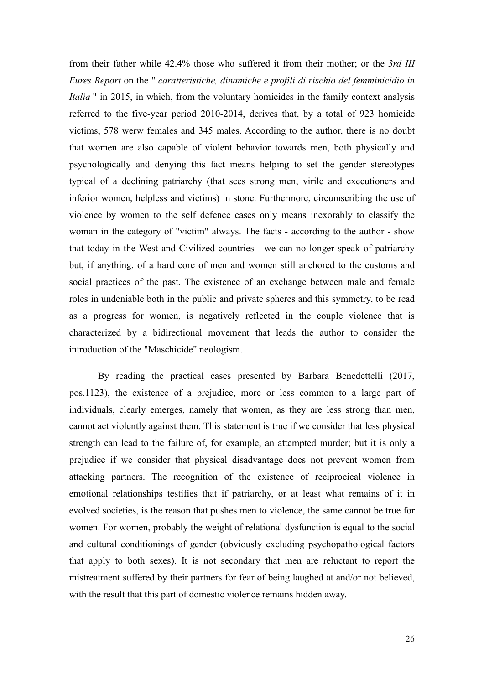from their father while 42.4% those who suffered it from their mother; or the *3rd III Eures Report* on the " *caratteristiche, dinamiche e profili di rischio del femminicidio in Italia* " in 2015, in which, from the voluntary homicides in the family context analysis referred to the five-year period 2010-2014, derives that, by a total of 923 homicide victims, 578 werw females and 345 males. According to the author, there is no doubt that women are also capable of violent behavior towards men, both physically and psychologically and denying this fact means helping to set the gender stereotypes typical of a declining patriarchy (that sees strong men, virile and executioners and inferior women, helpless and victims) in stone. Furthermore, circumscribing the use of violence by women to the self defence cases only means inexorably to classify the woman in the category of "victim" always. The facts - according to the author - show that today in the West and Civilized countries - we can no longer speak of patriarchy but, if anything, of a hard core of men and women still anchored to the customs and social practices of the past. The existence of an exchange between male and female roles in undeniable both in the public and private spheres and this symmetry, to be read as a progress for women, is negatively reflected in the couple violence that is characterized by a bidirectional movement that leads the author to consider the introduction of the "Maschicide" neologism.

By reading the practical cases presented by Barbara Benedettelli (2017, pos.1123), the existence of a prejudice, more or less common to a large part of individuals, clearly emerges, namely that women, as they are less strong than men, cannot act violently against them. This statement is true if we consider that less physical strength can lead to the failure of, for example, an attempted murder; but it is only a prejudice if we consider that physical disadvantage does not prevent women from attacking partners. The recognition of the existence of reciprocical violence in emotional relationships testifies that if patriarchy, or at least what remains of it in evolved societies, is the reason that pushes men to violence, the same cannot be true for women. For women, probably the weight of relational dysfunction is equal to the social and cultural conditionings of gender (obviously excluding psychopathological factors that apply to both sexes). It is not secondary that men are reluctant to report the mistreatment suffered by their partners for fear of being laughed at and/or not believed, with the result that this part of domestic violence remains hidden away.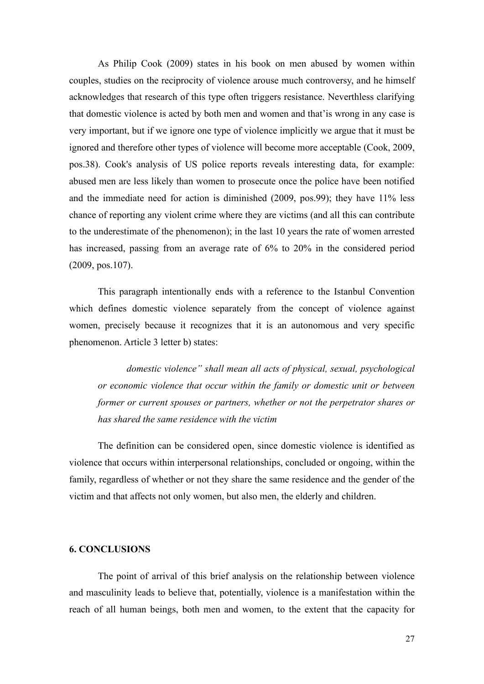As Philip Cook (2009) states in his book on men abused by women within couples, studies on the reciprocity of violence arouse much controversy, and he himself acknowledges that research of this type often triggers resistance. Neverthless clarifying that domestic violence is acted by both men and women and that'is wrong in any case is very important, but if we ignore one type of violence implicitly we argue that it must be ignored and therefore other types of violence will become more acceptable (Cook, 2009, pos.38). Cook's analysis of US police reports reveals interesting data, for example: abused men are less likely than women to prosecute once the police have been notified and the immediate need for action is diminished (2009, pos.99); they have 11% less chance of reporting any violent crime where they are victims (and all this can contribute to the underestimate of the phenomenon); in the last 10 years the rate of women arrested has increased, passing from an average rate of 6% to 20% in the considered period (2009, pos.107).

This paragraph intentionally ends with a reference to the Istanbul Convention which defines domestic violence separately from the concept of violence against women, precisely because it recognizes that it is an autonomous and very specific phenomenon. Article 3 letter b) states:

*domestic violence" shall mean all acts of physical, sexual, psychological or economic violence that occur within the family or domestic unit or between former or current spouses or partners, whether or not the perpetrator shares or has shared the same residence with the victim*

The definition can be considered open, since domestic violence is identified as violence that occurs within interpersonal relationships, concluded or ongoing, within the family, regardless of whether or not they share the same residence and the gender of the victim and that affects not only women, but also men, the elderly and children.

#### **6. CONCLUSIONS**

The point of arrival of this brief analysis on the relationship between violence and masculinity leads to believe that, potentially, violence is a manifestation within the reach of all human beings, both men and women, to the extent that the capacity for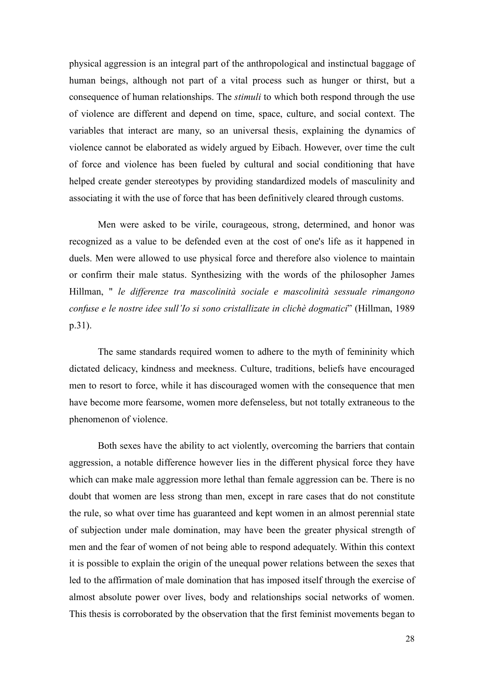physical aggression is an integral part of the anthropological and instinctual baggage of human beings, although not part of a vital process such as hunger or thirst, but a consequence of human relationships. The *stimuli* to which both respond through the use of violence are different and depend on time, space, culture, and social context. The variables that interact are many, so an universal thesis, explaining the dynamics of violence cannot be elaborated as widely argued by Eibach. However, over time the cult of force and violence has been fueled by cultural and social conditioning that have helped create gender stereotypes by providing standardized models of masculinity and associating it with the use of force that has been definitively cleared through customs.

Men were asked to be virile, courageous, strong, determined, and honor was recognized as a value to be defended even at the cost of one's life as it happened in duels. Men were allowed to use physical force and therefore also violence to maintain or confirm their male status. Synthesizing with the words of the philosopher James Hillman, " *le differenze tra mascolinità sociale e mascolinità sessuale rimangono confuse e le nostre idee sull'Io si sono cristallizate in clichè dogmatici*" (Hillman, 1989 p.31).

The same standards required women to adhere to the myth of femininity which dictated delicacy, kindness and meekness. Culture, traditions, beliefs have encouraged men to resort to force, while it has discouraged women with the consequence that men have become more fearsome, women more defenseless, but not totally extraneous to the phenomenon of violence.

Both sexes have the ability to act violently, overcoming the barriers that contain aggression, a notable difference however lies in the different physical force they have which can make male aggression more lethal than female aggression can be. There is no doubt that women are less strong than men, except in rare cases that do not constitute the rule, so what over time has guaranteed and kept women in an almost perennial state of subjection under male domination, may have been the greater physical strength of men and the fear of women of not being able to respond adequately. Within this context it is possible to explain the origin of the unequal power relations between the sexes that led to the affirmation of male domination that has imposed itself through the exercise of almost absolute power over lives, body and relationships social networks of women. This thesis is corroborated by the observation that the first feminist movements began to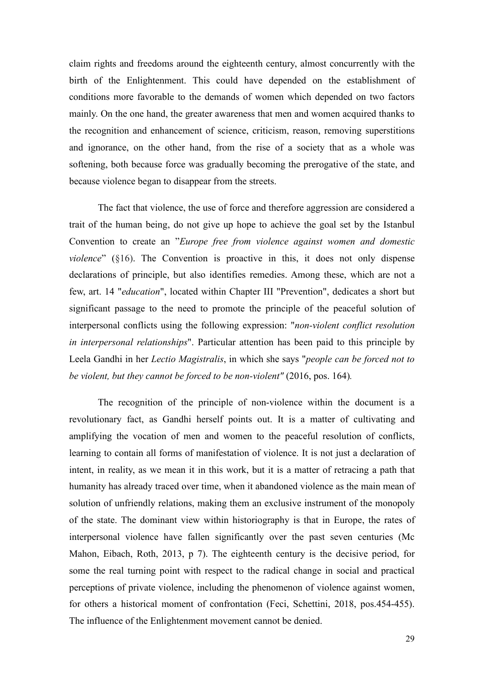claim rights and freedoms around the eighteenth century, almost concurrently with the birth of the Enlightenment. This could have depended on the establishment of conditions more favorable to the demands of women which depended on two factors mainly. On the one hand, the greater awareness that men and women acquired thanks to the recognition and enhancement of science, criticism, reason, removing superstitions and ignorance, on the other hand, from the rise of a society that as a whole was softening, both because force was gradually becoming the prerogative of the state, and because violence began to disappear from the streets.

The fact that violence, the use of force and therefore aggression are considered a trait of the human being, do not give up hope to achieve the goal set by the Istanbul Convention to create an "*Europe free from violence against women and domestic violence*" (§16). The Convention is proactive in this, it does not only dispense declarations of principle, but also identifies remedies. Among these, which are not a few, art. 14 "*education*", located within Chapter III "Prevention", dedicates a short but significant passage to the need to promote the principle of the peaceful solution of interpersonal conflicts using the following expression: "*non-violent conflict resolution in interpersonal relationships*". Particular attention has been paid to this principle by Leela Gandhi in her *Lectio Magistralis*, in which she says "*people can be forced not to be violent, but they cannot be forced to be non-violent"* (2016, pos. 164)*.*

The recognition of the principle of non-violence within the document is a revolutionary fact, as Gandhi herself points out. It is a matter of cultivating and amplifying the vocation of men and women to the peaceful resolution of conflicts, learning to contain all forms of manifestation of violence. It is not just a declaration of intent, in reality, as we mean it in this work, but it is a matter of retracing a path that humanity has already traced over time, when it abandoned violence as the main mean of solution of unfriendly relations, making them an exclusive instrument of the monopoly of the state. The dominant view within historiography is that in Europe, the rates of interpersonal violence have fallen significantly over the past seven centuries (Mc Mahon, Eibach, Roth, 2013, p 7). The eighteenth century is the decisive period, for some the real turning point with respect to the radical change in social and practical perceptions of private violence, including the phenomenon of violence against women, for others a historical moment of confrontation (Feci, Schettini, 2018, pos.454-455). The influence of the Enlightenment movement cannot be denied.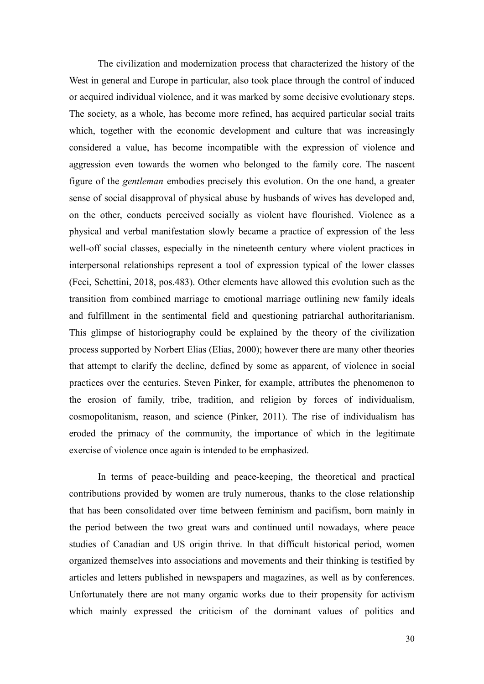The civilization and modernization process that characterized the history of the West in general and Europe in particular, also took place through the control of induced or acquired individual violence, and it was marked by some decisive evolutionary steps. The society, as a whole, has become more refined, has acquired particular social traits which, together with the economic development and culture that was increasingly considered a value, has become incompatible with the expression of violence and aggression even towards the women who belonged to the family core. The nascent figure of the *gentleman* embodies precisely this evolution. On the one hand, a greater sense of social disapproval of physical abuse by husbands of wives has developed and, on the other, conducts perceived socially as violent have flourished. Violence as a physical and verbal manifestation slowly became a practice of expression of the less well-off social classes, especially in the nineteenth century where violent practices in interpersonal relationships represent a tool of expression typical of the lower classes (Feci, Schettini, 2018, pos.483). Other elements have allowed this evolution such as the transition from combined marriage to emotional marriage outlining new family ideals and fulfillment in the sentimental field and questioning patriarchal authoritarianism. This glimpse of historiography could be explained by the theory of the civilization process supported by Norbert Elias (Elias, 2000); however there are many other theories that attempt to clarify the decline, defined by some as apparent, of violence in social practices over the centuries. Steven Pinker, for example, attributes the phenomenon to the erosion of family, tribe, tradition, and religion by forces of individualism, cosmopolitanism, reason, and science (Pinker, 2011). The rise of individualism has eroded the primacy of the community, the importance of which in the legitimate exercise of violence once again is intended to be emphasized.

In terms of peace-building and peace-keeping, the theoretical and practical contributions provided by women are truly numerous, thanks to the close relationship that has been consolidated over time between feminism and pacifism, born mainly in the period between the two great wars and continued until nowadays, where peace studies of Canadian and US origin thrive. In that difficult historical period, women organized themselves into associations and movements and their thinking is testified by articles and letters published in newspapers and magazines, as well as by conferences. Unfortunately there are not many organic works due to their propensity for activism which mainly expressed the criticism of the dominant values of politics and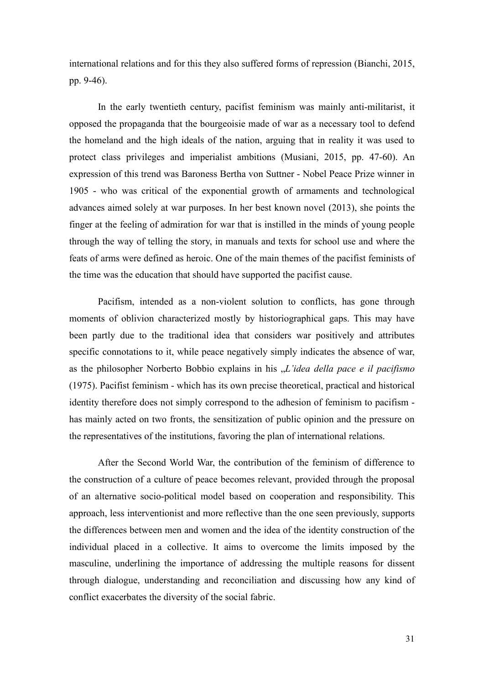international relations and for this they also suffered forms of repression (Bianchi, 2015, pp. 9-46).

In the early twentieth century, pacifist feminism was mainly anti-militarist, it opposed the propaganda that the bourgeoisie made of war as a necessary tool to defend the homeland and the high ideals of the nation, arguing that in reality it was used to protect class privileges and imperialist ambitions (Musiani, 2015, pp. 47-60). An expression of this trend was Baroness Bertha von Suttner - Nobel Peace Prize winner in 1905 - who was critical of the exponential growth of armaments and technological advances aimed solely at war purposes. In her best known novel (2013), she points the finger at the feeling of admiration for war that is instilled in the minds of young people through the way of telling the story, in manuals and texts for school use and where the feats of arms were defined as heroic. One of the main themes of the pacifist feminists of the time was the education that should have supported the pacifist cause.

Pacifism, intended as a non-violent solution to conflicts, has gone through moments of oblivion characterized mostly by historiographical gaps. This may have been partly due to the traditional idea that considers war positively and attributes specific connotations to it, while peace negatively simply indicates the absence of war, as the philosopher Norberto Bobbio explains in his "*L'idea della pace e il pacifismo* (1975). Pacifist feminism - which has its own precise theoretical, practical and historical identity therefore does not simply correspond to the adhesion of feminism to pacifism has mainly acted on two fronts, the sensitization of public opinion and the pressure on the representatives of the institutions, favoring the plan of international relations.

After the Second World War, the contribution of the feminism of difference to the construction of a culture of peace becomes relevant, provided through the proposal of an alternative socio-political model based on cooperation and responsibility. This approach, less interventionist and more reflective than the one seen previously, supports the differences between men and women and the idea of the identity construction of the individual placed in a collective. It aims to overcome the limits imposed by the masculine, underlining the importance of addressing the multiple reasons for dissent through dialogue, understanding and reconciliation and discussing how any kind of conflict exacerbates the diversity of the social fabric.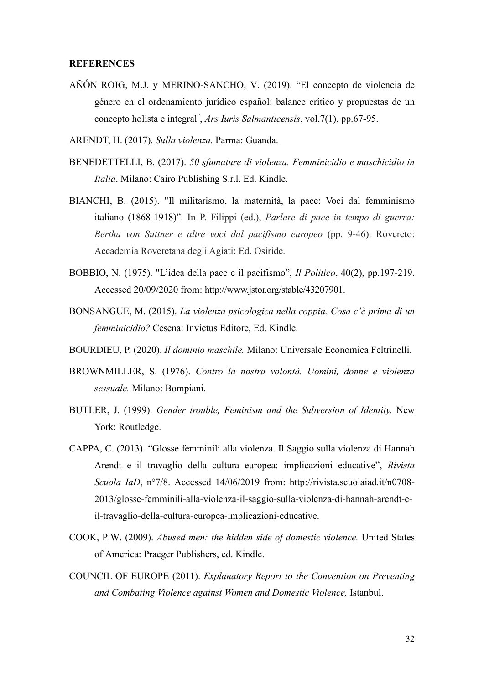### **REFERENCES**

- AÑÓN ROIG, M.J. y [MERINO-SANCHO, V.](https://dialnet.unirioja.es/servlet/autor?codigo=3480641) (2019). "El concepto de violencia de género en el ordenamiento jurídico español: balance crítico y propuestas de un concepto holista e integral" , *Ars Iuris Salmanticensis*, vol.7(1), pp.67-95.
- ARENDT, H. (2017). *Sulla violenza.* Parma: Guanda.
- BENEDETTELLI, B. (2017). *50 sfumature di violenza. Femminicidio e maschicidio in Italia*. Milano: Cairo Publishing S.r.l. Ed. Kindle.
- BIANCHI, B. (2015). "Il militarismo, la maternità, la pace: Voci dal femminismo italiano (1868-1918)". In P. Filippi (ed.), *Parlare di pace in tempo di guerra: Bertha von Suttner e altre voci dal pacifismo europeo* (pp. 9-46). Rovereto: Accademia Roveretana degli Agiati: Ed. Osiride.
- BOBBIO, N. (1975). "L'idea della pace e il pacifismo", *Il Politico*, 40(2), pp.197-219. Accessed 20/09/2020 from: http://www.jstor.org/stable/43207901.
- BONSANGUE, M. (2015). *La violenza psicologica nella coppia. Cosa c'è prima di un femminicidio?* Cesena: Invictus Editore, Ed. Kindle.
- BOURDIEU, P. (2020). *Il dominio maschile.* Milano: Universale Economica Feltrinelli.
- BROWNMILLER, S. (1976). *Contro la nostra volontà. Uomini, donne e violenza sessuale.* Milano: Bompiani.
- BUTLER, J. (1999). *Gender trouble, Feminism and the Subversion of Identity.* New York: Routledge.
- CAPPA, C. (2013). "Glosse femminili alla violenza. Il Saggio sulla violenza di Hannah Arendt e il travaglio della cultura europea: implicazioni educative", *Rivista Scuola IaD*, n°7/8. Accessed 14/06/2019 from: http://rivista.scuolaiad.it/n0708- 2013/glosse-femminili-alla-violenza-il-saggio-sulla-violenza-di-hannah-arendt-eil-travaglio-della-cultura-europea-implicazioni-educative.
- COOK, P.W. (2009). *Abused men: the hidden side of domestic violence.* United States of America: Praeger Publishers, ed. Kindle.
- COUNCIL OF EUROPE (2011). *Explanatory Report to the Convention on Preventing and Combating Violence against Women and Domestic Violence,* Istanbul.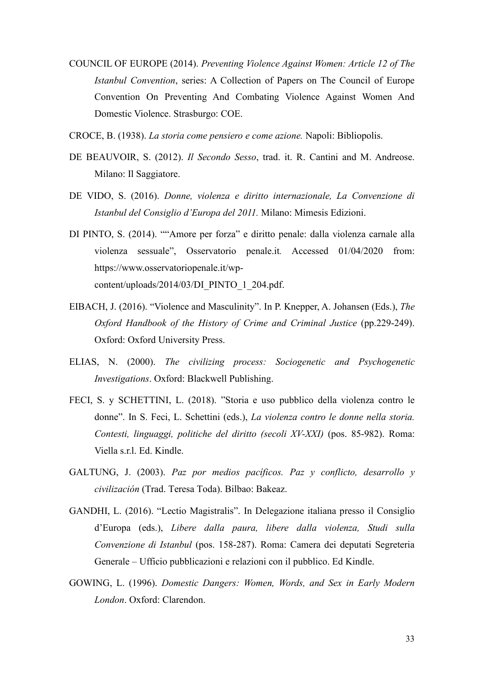- COUNCIL OF EUROPE (2014). *Preventing Violence Against Women: Article 12 of The Istanbul Convention*, series: A Collection of Papers on The Council of Europe Convention On Preventing And Combating Violence Against Women And Domestic Violence. Strasburgo: COE.
- CROCE, B. (1938). *La storia come pensiero e come azione.* Napoli: Bibliopolis.
- DE BEAUVOIR, S. (2012). *Il Secondo Sesso*, [trad. it. R. Cantini and M. Andreose.](https://it.wikipedia.org/wiki/Gallimard)  [Milano: Il Saggiatore.](https://it.wikipedia.org/wiki/Gallimard)
- DE VIDO, S. (2016). *Donne, violenza e diritto internazionale, La Convenzione di Istanbul del Consiglio d'Europa del 2011.* Milano: Mimesis Edizioni.
- DI PINTO, S. (2014). ""Amore per forza" e diritto penale: dalla violenza carnale alla violenza sessuale", Osservatorio penale.it*.* Accessed 01/04/2020 from: [https://www.osservatoriopenale.it/wp](https://www.osservatoriopenale.it/wp-content/uploads/2014/03/DI_PINTO_1_204.pdf)[content/uploads/2014/03/DI\\_PINTO\\_1\\_204.pdf.](https://www.osservatoriopenale.it/wp-content/uploads/2014/03/DI_PINTO_1_204.pdf)
- EIBACH, J. (2016). "Violence and Masculinity". In P. Knepper, A. Johansen (Eds.), *The Oxford Handbook of the History of Crime and Criminal Justice* (pp.229-249). Oxford: Oxford University Press.
- ELIAS, N. (2000). *The civilizing process: Sociogenetic and Psychogenetic Investigations*. Oxford: Blackwell Publishing.
- FECI, S. y SCHETTINI, L. (2018). "Storia e uso pubblico della violenza contro le donne". In S. Feci, L. Schettini (eds.), *La violenza contro le donne nella storia. Contesti, linguaggi, politiche del diritto (secoli XV-XXI)* (pos. 85-982). Roma: Viella s.r.l. Ed. Kindle.
- GALTUNG, J. (2003). *Paz por medios pacíficos. Paz y conflicto, desarrollo y civilización* (Trad. Teresa Toda). Bilbao: Bakeaz.
- GANDHI, L. (2016). "Lectio Magistralis". In Delegazione italiana presso il Consiglio d'Europa (eds.), *Libere dalla paura, libere dalla violenza, Studi sulla Convenzione di Istanbul* (pos. 158-287). Roma: Camera dei deputati Segreteria Generale – Ufficio pubblicazioni e relazioni con il pubblico. Ed Kindle.
- GOWING, L. (1996). *Domestic Dangers: Women, Words, and Sex in Early Modern London*. Oxford: Clarendon.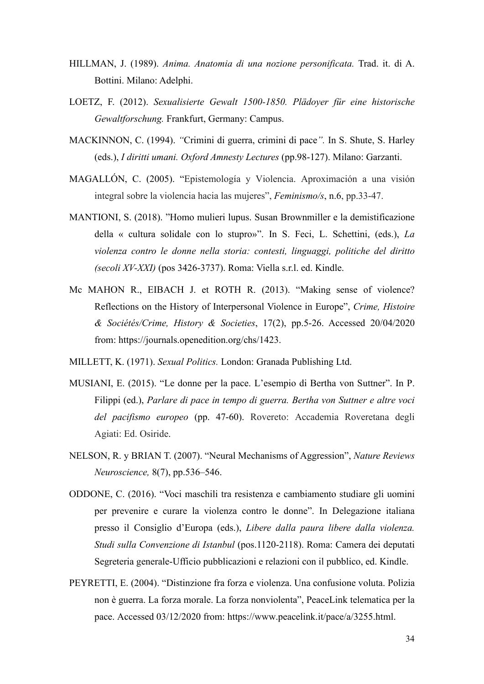- HILLMAN, J. (1989). *Anima. Anatomia di una nozione personificata.* Trad. it. di A. Bottini. Milano: Adelphi.
- LOETZ, F. (2012). *Sexualisierte Gewalt 1500-1850. Plädoyer für eine historische Gewaltforschung.* Frankfurt, Germany: Campus.
- MACKINNON, C. (1994). *"*Crimini di guerra, crimini di pace*".* In S. Shute, S. Harley (eds.), *I diritti umani. Oxford Amnesty Lectures* (pp.98-127). Milano: Garzanti.
- MAGALLÓN, C. (2005). "Epistemología y Violencia. Aproximación a una visión integral sobre la violencia hacia las mujeres", *Feminismo/s*, n.6, pp.33-47.
- MANTIONI, S. (2018). "Homo mulieri lupus. Susan Brownmiller e la demistificazione della « cultura solidale con lo stupro»". In S. Feci, L. Schettini, (eds.), *La violenza contro le donne nella storia: contesti, linguaggi, politiche del diritto (secoli XV-XXI)* (pos 3426-3737). Roma: Viella s.r.l. ed. Kindle.
- Mc MAHON R., EIBACH J. et ROTH R. (2013). "Making sense of violence? Reflections on the History of Interpersonal Violence in Europe", *Crime, Histoire & Sociétés/Crime, History & Societies*, 17(2), pp.5-26. Accessed 20/04/2020 from: https://journals.openedition.org/chs/1423.
- MILLETT, K. (1971). *Sexual Politics.* London: Granada Publishing Ltd.
- MUSIANI, E. (2015). ["Le donne per la pace. L'esempio di Bertha von Suttner"](https://cris.unibo.it/handle/11585/596762). In P. Filippi (ed.), *Parlare di pace in tempo di guerra. Bertha von Suttner e altre voci del pacifismo europeo* (pp. 47-60). Rovereto: Accademia Roveretana degli Agiati: Ed. Osiride.
- NELSON, R. y BRIAN T. (2007). "Neural Mechanisms of Aggression", *Nature Reviews Neuroscience,* 8(7), pp.536–546.
- ODDONE, C. (2016). "Voci maschili tra resistenza e cambiamento studiare gli uomini per prevenire e curare la violenza contro le donne". In Delegazione italiana presso il Consiglio d'Europa (eds.), *Libere dalla paura libere dalla violenza. Studi sulla Convenzione di Istanbul* (pos.1120-2118). Roma: Camera dei deputati Segreteria generale-Ufficio pubblicazioni e relazioni con il pubblico, ed. Kindle.
- PEYRETTI, E. (2004). "Distinzione fra forza e violenza. Una confusione voluta. Polizia non è guerra. La forza morale. La forza nonviolenta", PeaceLink telematica per la pace. Accessed 03/12/2020 from: [https://www.peacelink.it/pace/a/3255.html.](https://www.peacelink.it/pace/a/3255.html)